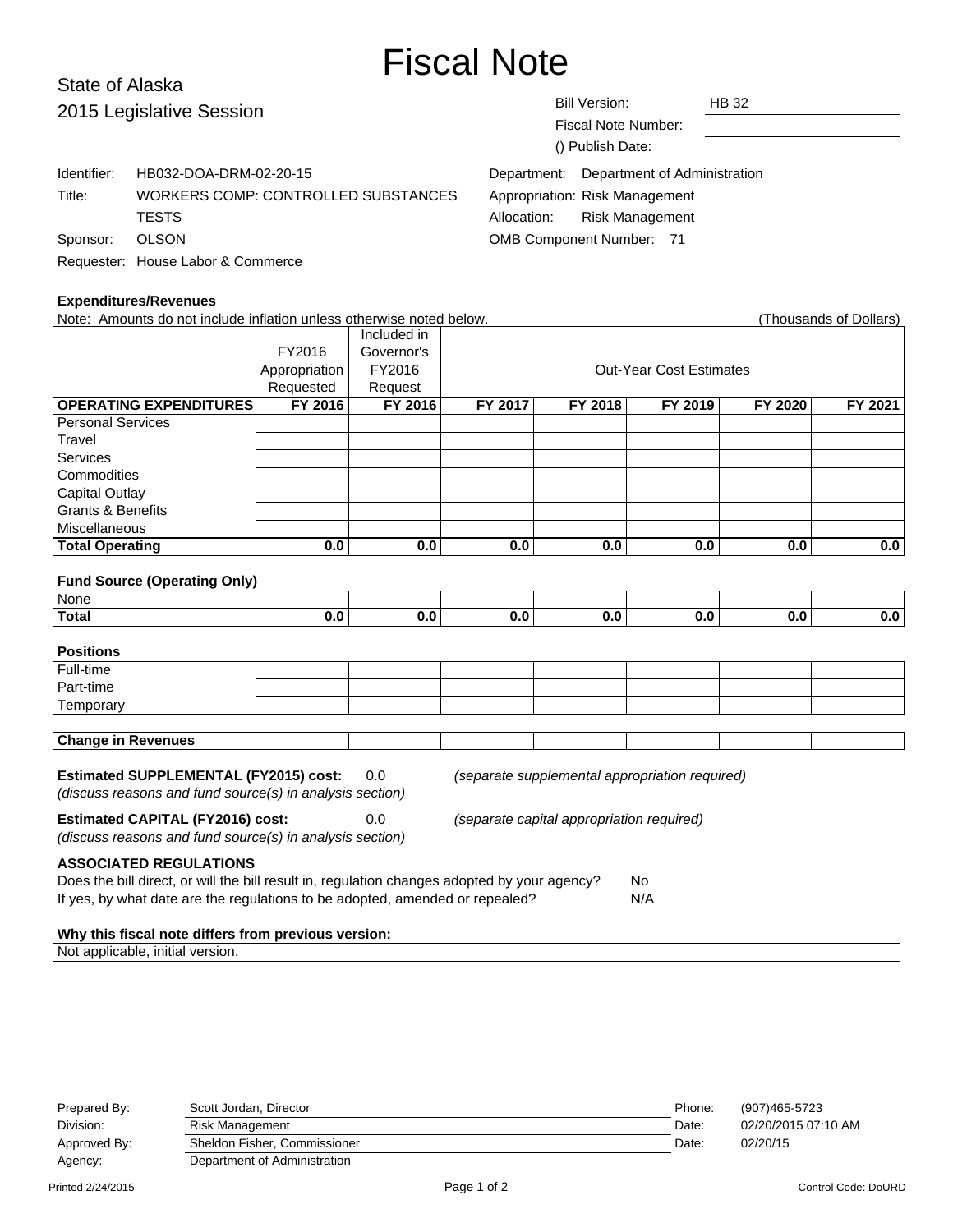# Fiscal Note

# State of Alaska 2015 Leg

| 2015 Legislative Session |                                     |                                 | Bill Version:<br>Fiscal Note Number:<br>() Publish Date: | <b>HB 32</b> |  |
|--------------------------|-------------------------------------|---------------------------------|----------------------------------------------------------|--------------|--|
| Identifier:              | HB032-DOA-DRM-02-20-15              |                                 | Department: Department of Administration                 |              |  |
| Title:                   | WORKERS COMP: CONTROLLED SUBSTANCES |                                 | Appropriation: Risk Management                           |              |  |
|                          | <b>TESTS</b>                        | Allocation:                     | <b>Risk Management</b>                                   |              |  |
| Sponsor:                 | <b>OLSON</b>                        | <b>OMB Component Number: 71</b> |                                                          |              |  |
|                          | Requester: House Labor & Commerce   |                                 |                                                          |              |  |

## **Expenditures/Revenues**

| Note: Amounts do not include inflation unless otherwise noted below.                                                                                                                                                              |               |             |                                |         |         |         | (Thousands of Dollars) |  |
|-----------------------------------------------------------------------------------------------------------------------------------------------------------------------------------------------------------------------------------|---------------|-------------|--------------------------------|---------|---------|---------|------------------------|--|
|                                                                                                                                                                                                                                   |               | Included in |                                |         |         |         |                        |  |
|                                                                                                                                                                                                                                   | FY2016        | Governor's  |                                |         |         |         |                        |  |
|                                                                                                                                                                                                                                   | Appropriation | FY2016      | <b>Out-Year Cost Estimates</b> |         |         |         |                        |  |
|                                                                                                                                                                                                                                   | Requested     | Request     |                                |         |         |         |                        |  |
| <b>OPERATING EXPENDITURES</b>                                                                                                                                                                                                     | FY 2016       | FY 2016     | FY 2017                        | FY 2018 | FY 2019 | FY 2020 | FY 2021                |  |
| <b>Personal Services</b>                                                                                                                                                                                                          |               |             |                                |         |         |         |                        |  |
| Travel                                                                                                                                                                                                                            |               |             |                                |         |         |         |                        |  |
| Services                                                                                                                                                                                                                          |               |             |                                |         |         |         |                        |  |
| Commodities                                                                                                                                                                                                                       |               |             |                                |         |         |         |                        |  |
| <b>Capital Outlay</b>                                                                                                                                                                                                             |               |             |                                |         |         |         |                        |  |
| <b>Grants &amp; Benefits</b>                                                                                                                                                                                                      |               |             |                                |         |         |         |                        |  |
| Miscellaneous                                                                                                                                                                                                                     |               |             |                                |         |         |         |                        |  |
| <b>Total Operating</b>                                                                                                                                                                                                            | 0.0           | 0.0         | 0.0                            | 0.0     | 0.0     | 0.0     | 0.0                    |  |
|                                                                                                                                                                                                                                   |               |             |                                |         |         |         |                        |  |
| <b>Fund Source (Operating Only)</b>                                                                                                                                                                                               |               |             |                                |         |         |         |                        |  |
| None                                                                                                                                                                                                                              |               |             |                                |         |         |         |                        |  |
| <b>Total</b>                                                                                                                                                                                                                      | 0.0           | 0.0         | 0.0                            | 0.0     | 0.0     | 0.0     | 0.0                    |  |
| <b>Positions</b>                                                                                                                                                                                                                  |               |             |                                |         |         |         |                        |  |
| Full-time                                                                                                                                                                                                                         |               |             |                                |         |         |         |                        |  |
| Part-time                                                                                                                                                                                                                         |               |             |                                |         |         |         |                        |  |
| Temporary                                                                                                                                                                                                                         |               |             |                                |         |         |         |                        |  |
|                                                                                                                                                                                                                                   |               |             |                                |         |         |         |                        |  |
| <b>Change in Revenues</b>                                                                                                                                                                                                         |               |             |                                |         |         |         |                        |  |
| <b>Estimated SUPPLEMENTAL (FY2015) cost:</b><br>0.0<br>(separate supplemental appropriation required)<br>(discuss reasons and fund source(s) in analysis section)                                                                 |               |             |                                |         |         |         |                        |  |
| <b>Estimated CAPITAL (FY2016) cost:</b><br>0.0<br>(separate capital appropriation required)<br>(discuss reasons and fund source(s) in analysis section)                                                                           |               |             |                                |         |         |         |                        |  |
| <b>ASSOCIATED REGULATIONS</b><br>Does the bill direct, or will the bill result in, regulation changes adopted by your agency?<br><b>No</b><br>If yes, by what date are the regulations to be adopted, amended or repealed?<br>N/A |               |             |                                |         |         |         |                        |  |
| Why this fiscal note differs from previous version:                                                                                                                                                                               |               |             |                                |         |         |         |                        |  |

| Prepared By: | Scott Jordan, Director       | Phone: | (907)465-5723       |
|--------------|------------------------------|--------|---------------------|
| Division:    | Risk Management              | Date:  | 02/20/2015 07:10 AM |
| Approved By: | Sheldon Fisher, Commissioner | Date:  | 02/20/15            |
| Agency:      | Department of Administration |        |                     |

Not applicable, initial version.